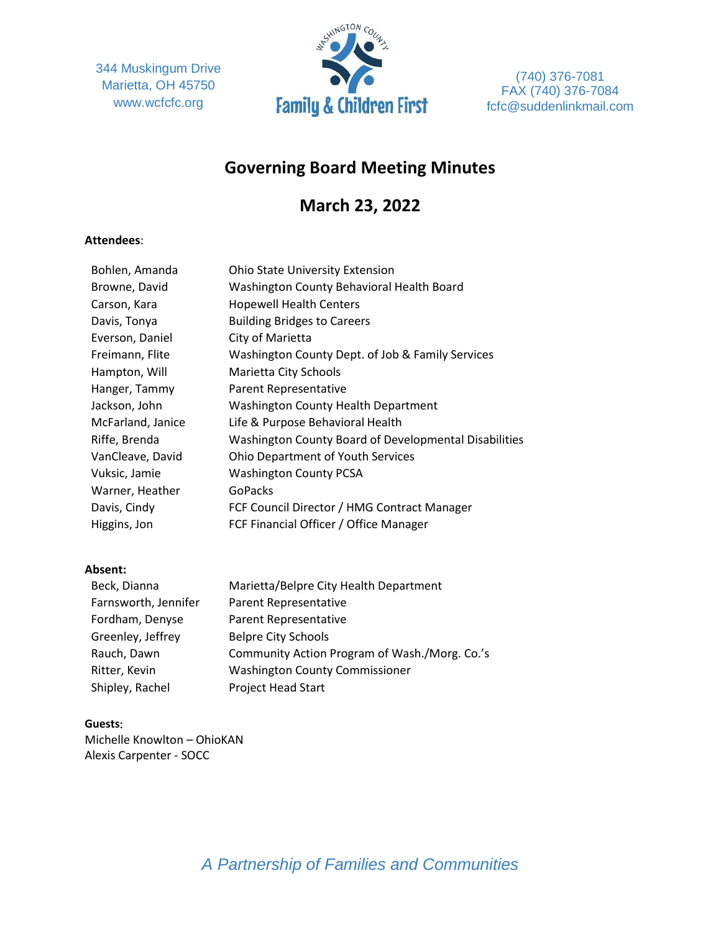344 Muskingum Drive Marietta, OH 45750 www.wcfcfc.org



(740) 376-7081 FAX (740) 376-7084 fcfc@suddenlinkmail.com

# **Governing Board Meeting Minutes**

# **March 23, 2022**

# **Attendees**:

| Bohlen, Amanda    | <b>Ohio State University Extension</b>                |
|-------------------|-------------------------------------------------------|
| Browne, David     | Washington County Behavioral Health Board             |
| Carson, Kara      | <b>Hopewell Health Centers</b>                        |
| Davis, Tonya      | <b>Building Bridges to Careers</b>                    |
| Everson, Daniel   | City of Marietta                                      |
| Freimann, Flite   | Washington County Dept. of Job & Family Services      |
| Hampton, Will     | Marietta City Schools                                 |
| Hanger, Tammy     | Parent Representative                                 |
| Jackson, John     | <b>Washington County Health Department</b>            |
| McFarland, Janice | Life & Purpose Behavioral Health                      |
| Riffe, Brenda     | Washington County Board of Developmental Disabilities |
| VanCleave, David  | <b>Ohio Department of Youth Services</b>              |
| Vuksic, Jamie     | <b>Washington County PCSA</b>                         |
| Warner, Heather   | <b>GoPacks</b>                                        |
| Davis, Cindy      | FCF Council Director / HMG Contract Manager           |
| Higgins, Jon      | FCF Financial Officer / Office Manager                |

# **Absent:**

| Beck, Dianna         | Marietta/Belpre City Health Department        |
|----------------------|-----------------------------------------------|
| Farnsworth, Jennifer | Parent Representative                         |
| Fordham, Denyse      | Parent Representative                         |
| Greenley, Jeffrey    | <b>Belpre City Schools</b>                    |
| Rauch, Dawn          | Community Action Program of Wash./Morg. Co.'s |
| Ritter, Kevin        | <b>Washington County Commissioner</b>         |
| Shipley, Rachel      | <b>Project Head Start</b>                     |

#### **Guests**:

Michelle Knowlton – OhioKAN Alexis Carpenter - SOCC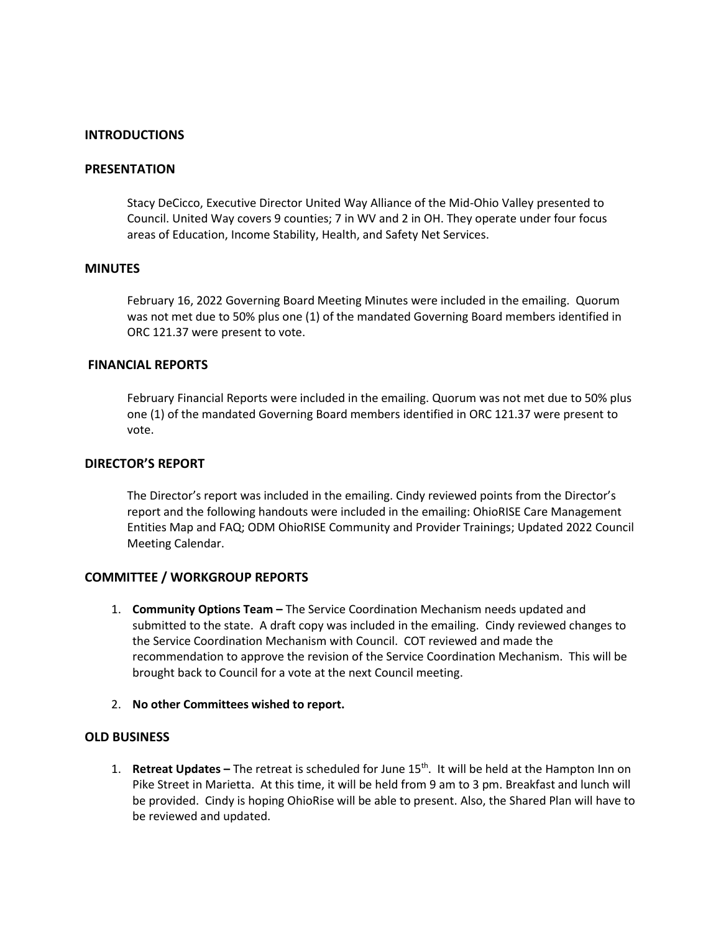# **INTRODUCTIONS**

#### **PRESENTATION**

Stacy DeCicco, Executive Director United Way Alliance of the Mid-Ohio Valley presented to Council. United Way covers 9 counties; 7 in WV and 2 in OH. They operate under four focus areas of Education, Income Stability, Health, and Safety Net Services.

#### **MINUTES**

February 16, 2022 Governing Board Meeting Minutes were included in the emailing. Quorum was not met due to 50% plus one (1) of the mandated Governing Board members identified in ORC 121.37 were present to vote.

#### **FINANCIAL REPORTS**

February Financial Reports were included in the emailing. Quorum was not met due to 50% plus one (1) of the mandated Governing Board members identified in ORC 121.37 were present to vote.

#### **DIRECTOR'S REPORT**

The Director's report was included in the emailing. Cindy reviewed points from the Director's report and the following handouts were included in the emailing: OhioRISE Care Management Entities Map and FAQ; ODM OhioRISE Community and Provider Trainings; Updated 2022 Council Meeting Calendar.

# **COMMITTEE / WORKGROUP REPORTS**

- 1. **Community Options Team –** The Service Coordination Mechanism needs updated and submitted to the state. A draft copy was included in the emailing. Cindy reviewed changes to the Service Coordination Mechanism with Council. COT reviewed and made the recommendation to approve the revision of the Service Coordination Mechanism. This will be brought back to Council for a vote at the next Council meeting.
- 2. **No other Committees wished to report.**

### **OLD BUSINESS**

1. **Retreat Updates –** The retreat is scheduled for June 15th. It will be held at the Hampton Inn on Pike Street in Marietta. At this time, it will be held from 9 am to 3 pm. Breakfast and lunch will be provided. Cindy is hoping OhioRise will be able to present. Also, the Shared Plan will have to be reviewed and updated.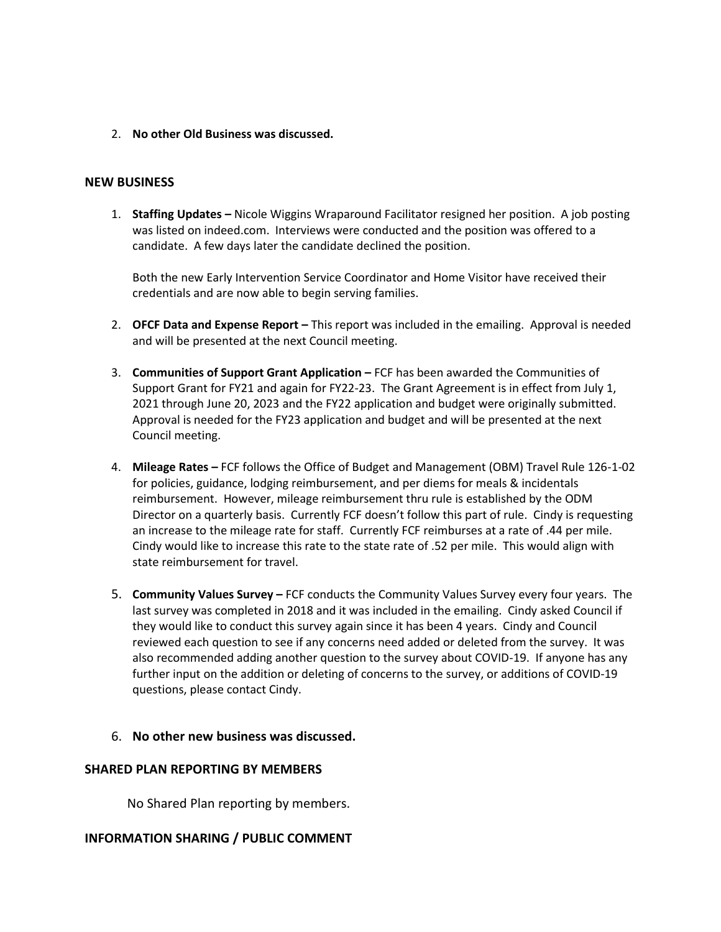2. **No other Old Business was discussed.**

### **NEW BUSINESS**

1. **Staffing Updates –** Nicole Wiggins Wraparound Facilitator resigned her position. A job posting was listed on indeed.com. Interviews were conducted and the position was offered to a candidate. A few days later the candidate declined the position.

Both the new Early Intervention Service Coordinator and Home Visitor have received their credentials and are now able to begin serving families.

- 2. **OFCF Data and Expense Report –** This report was included in the emailing. Approval is needed and will be presented at the next Council meeting.
- 3. **Communities of Support Grant Application –** FCF has been awarded the Communities of Support Grant for FY21 and again for FY22-23. The Grant Agreement is in effect from July 1, 2021 through June 20, 2023 and the FY22 application and budget were originally submitted. Approval is needed for the FY23 application and budget and will be presented at the next Council meeting.
- 4. **Mileage Rates –** FCF follows the Office of Budget and Management (OBM) Travel Rule 126-1-02 for policies, guidance, lodging reimbursement, and per diems for meals & incidentals reimbursement. However, mileage reimbursement thru rule is established by the ODM Director on a quarterly basis. Currently FCF doesn't follow this part of rule. Cindy is requesting an increase to the mileage rate for staff. Currently FCF reimburses at a rate of .44 per mile. Cindy would like to increase this rate to the state rate of .52 per mile. This would align with state reimbursement for travel.
- 5. **Community Values Survey –** FCF conducts the Community Values Survey every four years. The last survey was completed in 2018 and it was included in the emailing. Cindy asked Council if they would like to conduct this survey again since it has been 4 years. Cindy and Council reviewed each question to see if any concerns need added or deleted from the survey. It was also recommended adding another question to the survey about COVID-19. If anyone has any further input on the addition or deleting of concerns to the survey, or additions of COVID-19 questions, please contact Cindy.
- 6. **No other new business was discussed.**

# **SHARED PLAN REPORTING BY MEMBERS**

No Shared Plan reporting by members.

# **INFORMATION SHARING / PUBLIC COMMENT**